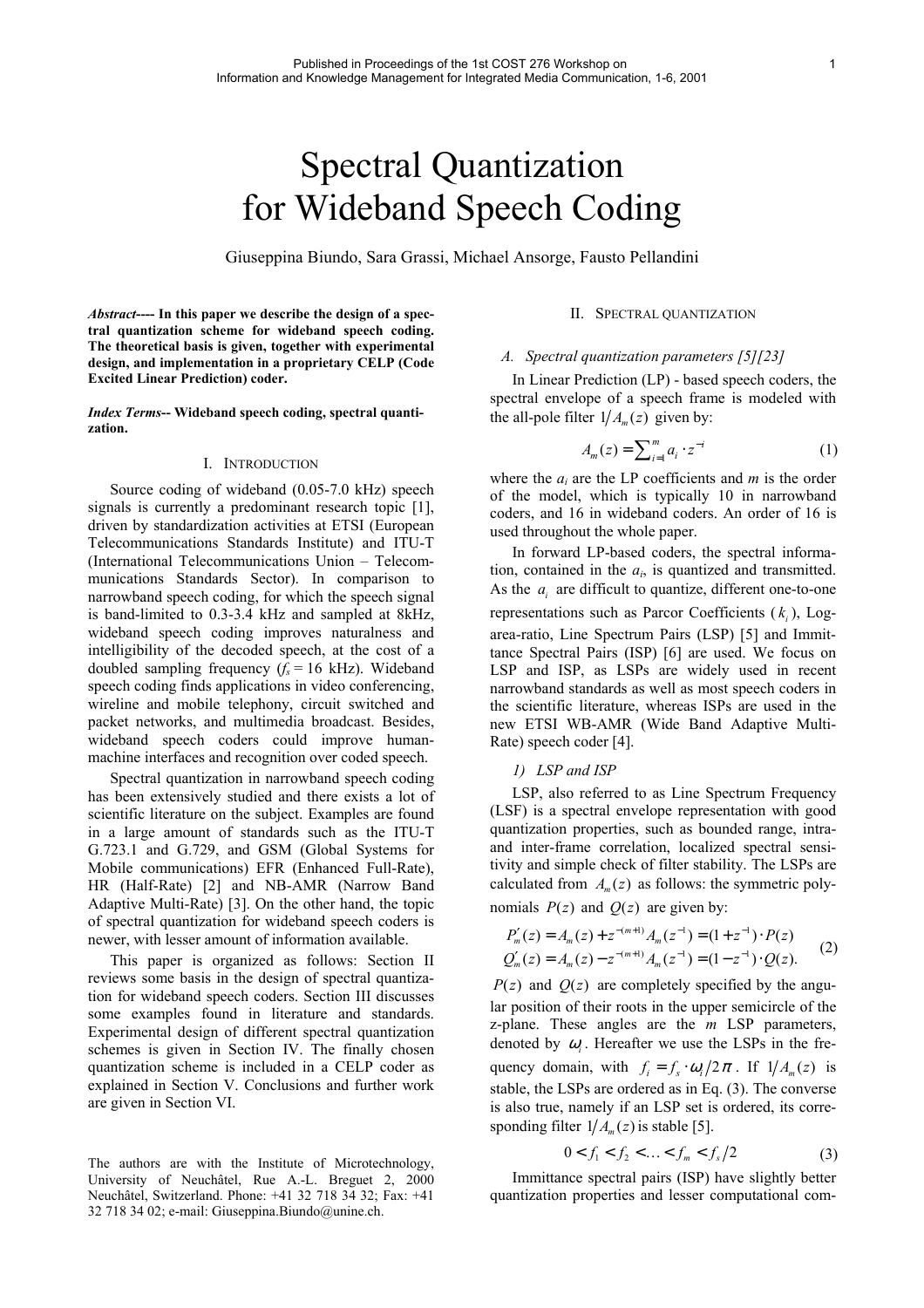# Spectral Quantization for Wideband Speech Coding

Giuseppina Biundo, Sara Grassi, Michael Ansorge, Fausto Pellandini

*Abstract***---- In this paper we describe the design of a spectral quantization scheme for wideband speech coding. The theoretical basis is given, together with experimental design, and implementation in a proprietary CELP (Code Excited Linear Prediction) coder.** 

*Index Terms***-- Wideband speech coding, spectral quantization.**

# I. INTRODUCTION

Source coding of wideband (0.05-7.0 kHz) speech signals is currently a predominant research topic [\[1\],](#page-5-0)  driven by standardization activities at ETSI (European Telecommunications Standards Institute) and ITU-T (International Telecommunications Union – Telecommunications Standards Sector). In comparison to narrowband speech coding, for which the speech signal is band-limited to 0.3-3.4 kHz and sampled at 8kHz, wideband speech coding improves naturalness and intelligibility of the decoded speech, at the cost of a doubled sampling frequency  $(f_s = 16 \text{ kHz})$ . Wideband speech coding finds applications in video conferencing, wireline and mobile telephony, circuit switched and packet networks, and multimedia broadcast. Besides, wideband speech coders could improve humanmachine interfaces and recognition over coded speech.

Spectral quantization in narrowband speech coding has been extensively studied and there exists a lot of scientific literature on the subject. Examples are found in a large amount of standards such as the ITU-T G.723.1 and G.729, and GSM (Global Systems for Mobile communications) EFR (Enhanced Full-Rate), HR (Half-Rate) [\[2\]](#page-5-1) and NB-AMR (Narrow Band Adaptive Multi-Rate) [\[3\].](#page-5-2) On the other hand, the topic of spectral quantization for wideband speech coders is newer, with lesser amount of information available.

This paper is organized as follows: Section [II](#page-0-0) reviews some basis in the design of spectral quantization for wideband speech coders. Section [III](#page-1-0) discusses some examples found in literature and standards. Experimental design of different spectral quantization schemes is given in Section [IV.](#page-2-0) The finally chosen quantization scheme is included in a CELP coder as explained in Section [V.](#page-4-0) Conclusions and further work are given in Section [VI.](#page-4-1)

<span id="page-0-1"></span>The authors are with the Institute of Microtechnology, University of Neuchâtel, Rue A.-L. Breguet 2, 2000 Neuchâtel, Switzerland. Phone: +41 32 718 34 32; Fax: +41 32 718 34 02; e-mail: Giuseppina.Biundo@unine.ch.

# <span id="page-0-0"></span>II. SPECTRAL QUANTIZATION

## *A. Spectral quantization parameters [\[5\]](#page-5-3)[\[23\]](#page-5-4)*

In Linear Prediction (LP) - based speech coders, the spectral envelope of a speech frame is modeled with the all-pole filter  $1/A<sub>m</sub>(z)$  given by:

$$
A_m(z) = \sum_{i=1}^m a_i \cdot z^{-i} \tag{1}
$$

where the  $a_i$  are the LP coefficients and  $m$  is the order of the model, which is typically 10 in narrowband coders, and 16 in wideband coders. An order of 16 is used throughout the whole paper.

In forward LP-based coders, the spectral information, contained in the  $a_i$ , is quantized and transmitted. As the  $a_i$  are difficult to quantize, different one-to-one representations such as Parcor Coefficients  $(k<sub>i</sub>)$ , Logarea-ratio, Line Spectrum Pairs (LSP) [\[5\]](#page-5-3) and Immittance Spectral Pairs (ISP) [\[6\]](#page-5-5) are used. We focus on LSP and ISP, as LSPs are widely used in recent narrowband standards as well as most speech coders in the scientific literature, whereas ISPs are used in the new ETSI WB-AMR (Wide Band Adaptive Multi-Rate) speech coder [\[4\].](#page-5-6)

### *1) LSP and ISP*

LSP, also referred to as Line Spectrum Frequency (LSF) is a spectral envelope representation with good quantization properties, such as bounded range, intraand inter-frame correlation, localized spectral sensitivity and simple check of filter stability. The LSPs are calculated from  $A_m(z)$  as follows: the symmetric polynomials  $P(z)$  and  $Q(z)$  are given by:

$$
P'_{m}(z) = A_{m}(z) + z^{-(m+1)} A_{m}(z^{-1}) = (1 + z^{-1}) \cdot P(z)
$$
  
\n
$$
Q'_{m}(z) = A_{m}(z) - z^{-(m+1)} A_{m}(z^{-1}) = (1 - z^{-1}) \cdot Q(z).
$$
 (2)

 $P(z)$  and  $Q(z)$  are completely specified by the angular position of their roots in the upper semicircle of the z-plane. These angles are the *m* LSP parameters, denoted by  $\omega_i$ . Hereafter we use the LSPs in the frequency domain, with  $f_i = f_s \cdot \omega_i / 2\pi$ . If  $1 / A_m(z)$  is stable, the LSPs are ordered as in Eq. (3). The converse is also true, namely if an LSP set is ordered, its corresponding filter  $1/A_m(z)$  is stable [5].

$$
0 < f_1 < f_2 < \ldots < f_m < f_s / 2 \tag{3}
$$

Immittance spectral pairs (ISP) have slightly better quantization properties and lesser computational com-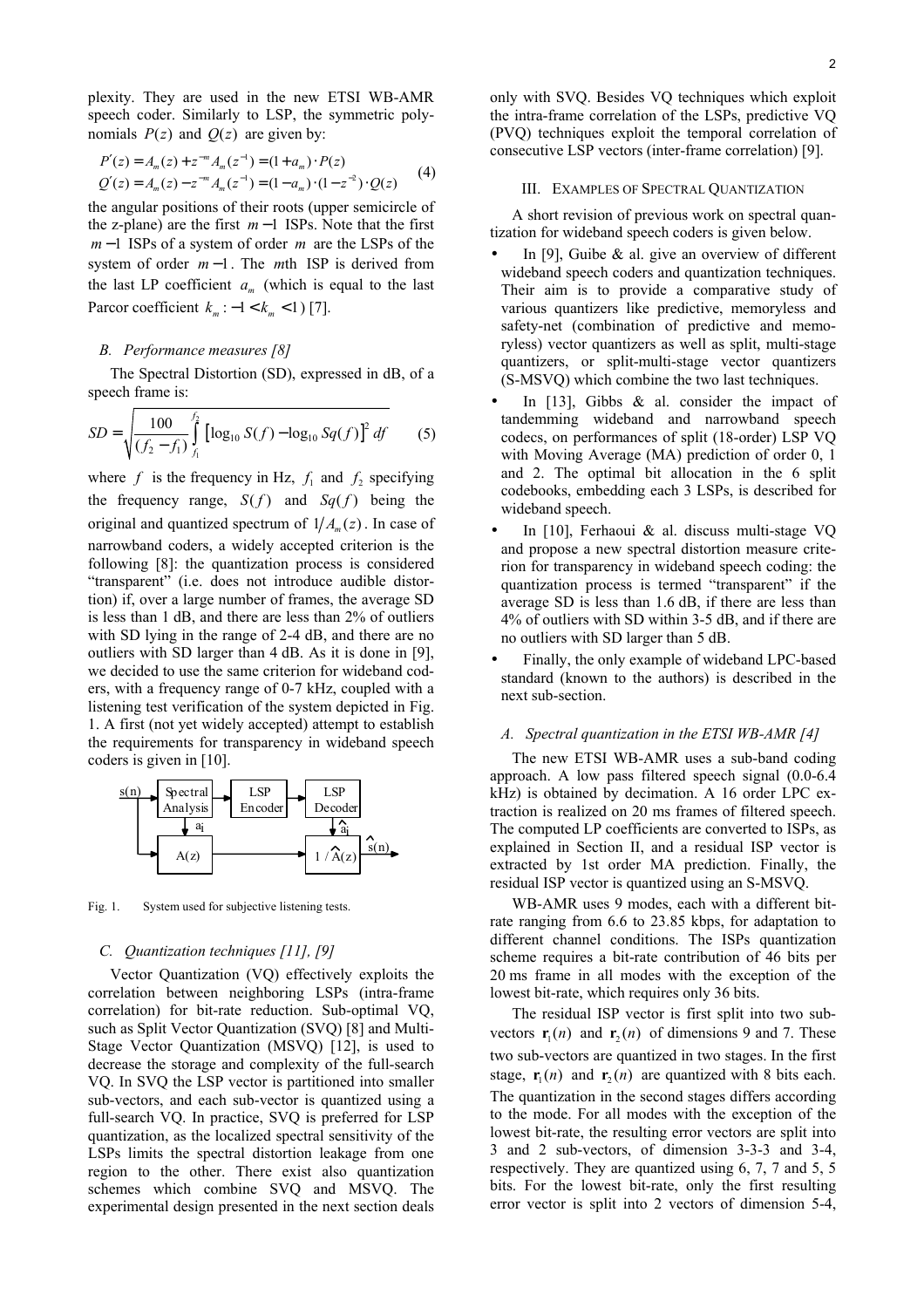plexity. They are used in the new ETSI WB-AMR speech coder. Similarly to LSP, the symmetric polynomials  $P(z)$  and  $Q(z)$  are given by:

$$
P'(z) = A_m(z) + z^{-m} A_m(z^{-1}) = (1 + a_m) \cdot P(z)
$$
  
 
$$
Q'(z) = A_m(z) - z^{-m} A_m(z^{-1}) = (1 - a_m) \cdot (1 - z^{-2}) \cdot Q(z)
$$
 (4)

the angular positions of their roots (upper semicircle of the z-plane) are the first  $m-1$  ISPs. Note that the first *m* −1 ISPs of a system of order *m* are the LSPs of the system of order  $m-1$ . The mth ISP is derived from the last LP coefficient  $a_m$  (which is equal to the last Parcor coefficient  $k_m : -1 < k_m < 1$  [\[7\].](#page-5-7)

## *B. Performance measures [\[8\]](#page-5-8)*

The Spectral Distortion (SD), expressed in dB, of a speech frame is:

$$
SD = \sqrt{\frac{100}{(f_2 - f_1)} \int_{f_1}^{f_2} \left[ \log_{10} S(f) - \log_{10} Sq(f) \right]^2 df} \qquad (5)
$$

where  $f$  is the frequency in Hz,  $f_1$  and  $f_2$  specifying the frequency range,  $S(f)$  and  $Sq(f)$  being the original and quantized spectrum of  $1/A_m(z)$ . In case of narrowband coders, a widely accepted criterion is the following [\[8\]:](#page-5-8) the quantization process is considered "transparent" (i.e. does not introduce audible distortion) if, over a large number of frames, the average SD is less than 1 dB, and there are less than 2% of outliers with SD lying in the range of 2-4 dB, and there are no outliers with SD larger than 4 dB. As it is done in [\[9\],](#page-5-9) we decided to use the same criterion for wideband coders, with a frequency range of 0-7 kHz, coupled with a listening test verification of the system depicted in [Fig.](#page-1-1) [1](#page-1-1). A first (not yet widely accepted) attempt to establish the requirements for transparency in wideband speech coders is given in [\[10\].](#page-5-10)

<span id="page-1-1"></span>

Fig. 1. System used for subjective listening tests.

# *C. Quantization techniques [\[11\],](#page-5-11) [\[9\]](#page-5-9)*

Vector Quantization (VQ) effectively exploits the correlation between neighboring LSPs (intra-frame correlation) for bit-rate reduction. Sub-optimal VQ, such as Split Vector Quantization (SVQ) [\[8\]](#page-5-8) and Multi-Stage Vector Quantization (MSVQ) [\[12\],](#page-5-12) is used to decrease the storage and complexity of the full-search VQ. In SVQ the LSP vector is partitioned into smaller sub-vectors, and each sub-vector is quantized using a full-search VQ. In practice, SVQ is preferred for LSP quantization, as the localized spectral sensitivity of the LSPs limits the spectral distortion leakage from one region to the other. There exist also quantization schemes which combine SVQ and MSVQ. The experimental design presented in the next section deals

only with SVQ. Besides VQ techniques which exploit the intra-frame correlation of the LSPs, predictive VQ (PVQ) techniques exploit the temporal correlation of consecutive LSP vectors (inter-frame correlation) [\[9\].](#page-5-9)

<span id="page-1-0"></span>III. EXAMPLES OF SPECTRAL QUANTIZATION

A short revision of previous work on spectral quantization for wideband speech coders is given below.

- In [\[9\],](#page-5-9) Guibe  $\&$  al. give an overview of different wideband speech coders and quantization techniques. Their aim is to provide a comparative study of various quantizers like predictive, memoryless and safety-net (combination of predictive and memoryless) vector quantizers as well as split, multi-stage quantizers, or split-multi-stage vector quantizers (S-MSVQ) which combine the two last techniques.
- In  $[13]$ , Gibbs & al. consider the impact of tandemming wideband and narrowband speech codecs, on performances of split (18-order) LSP VQ with Moving Average (MA) prediction of order 0, 1 and 2. The optimal bit allocation in the 6 split codebooks, embedding each 3 LSPs, is described for wideband speech.
- In [\[10\],](#page-5-10) Ferhaoui & al. discuss multi-stage VQ and propose a new spectral distortion measure criterion for transparency in wideband speech coding: the quantization process is termed "transparent" if the average SD is less than 1.6 dB, if there are less than 4% of outliers with SD within 3-5 dB, and if there are no outliers with SD larger than 5 dB.
- Finally, the only example of wideband LPC-based standard (known to the authors) is described in the next sub-section.

#### *A. Spectral quantization in the ETSI WB-AMR [\[4\]](#page-5-6)*

The new ETSI WB-AMR uses a sub-band coding approach. A low pass filtered speech signal (0.0-6.4 kHz) is obtained by decimation. A 16 order LPC extraction is realized on 20 ms frames of filtered speech. The computed LP coefficients are converted to ISPs, as explained in Section [II,](#page-0-0) and a residual ISP vector is extracted by 1st order MA prediction. Finally, the residual ISP vector is quantized using an S-MSVQ.

WB-AMR uses 9 modes, each with a different bitrate ranging from 6.6 to 23.85 kbps, for adaptation to different channel conditions. The ISPs quantization scheme requires a bit-rate contribution of 46 bits per 20 ms frame in all modes with the exception of the lowest bit-rate, which requires only 36 bits.

The residual ISP vector is first split into two subvectors  $\mathbf{r}_1(n)$  and  $\mathbf{r}_2(n)$  of dimensions 9 and 7. These two sub-vectors are quantized in two stages. In the first stage,  $\mathbf{r}_1(n)$  and  $\mathbf{r}_2(n)$  are quantized with 8 bits each. The quantization in the second stages differs according to the mode. For all modes with the exception of the lowest bit-rate, the resulting error vectors are split into 3 and 2 sub-vectors, of dimension 3-3-3 and 3-4, respectively. They are quantized using 6, 7, 7 and 5, 5 bits. For the lowest bit-rate, only the first resulting error vector is split into 2 vectors of dimension 5-4,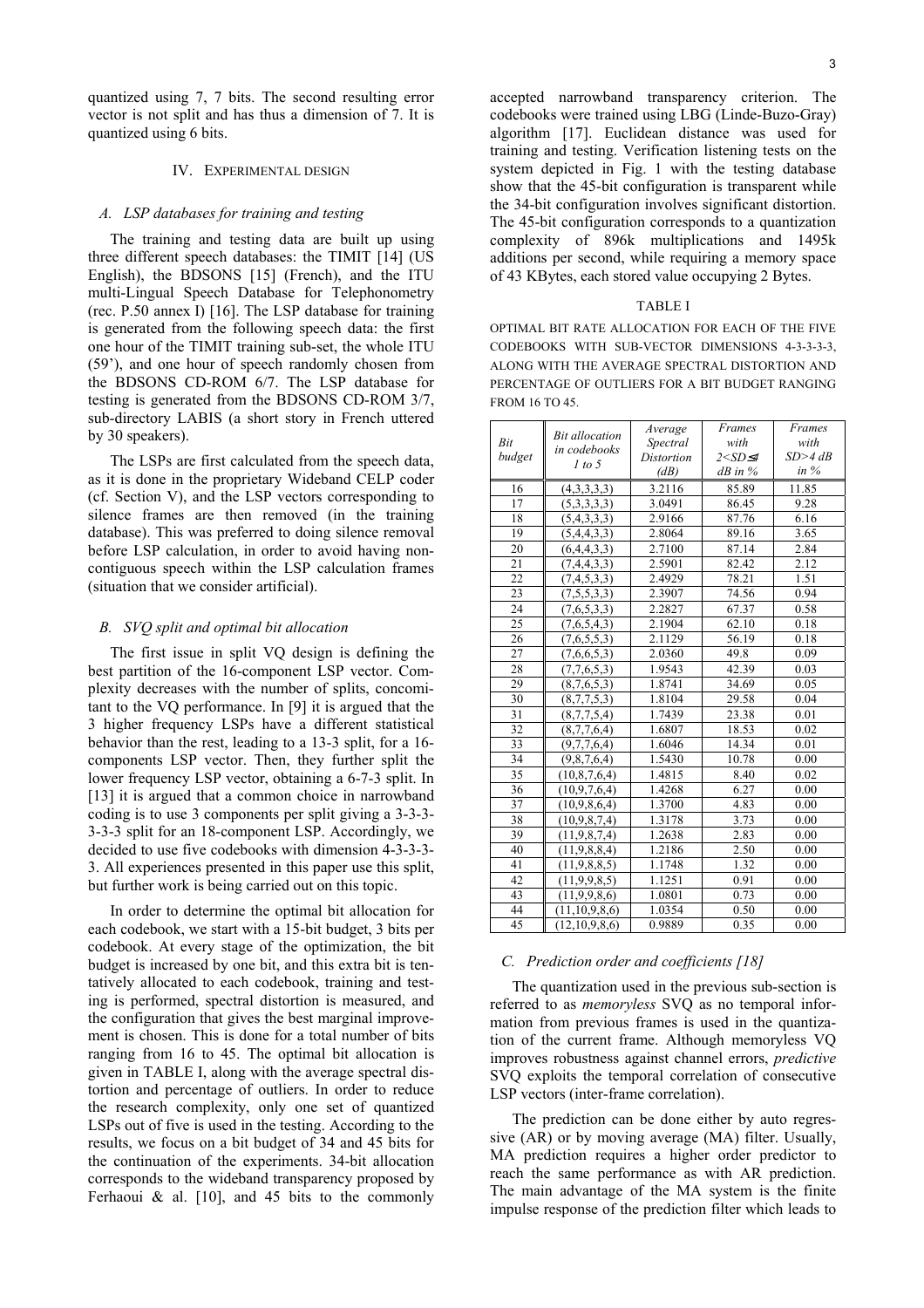quantized using 7, 7 bits. The second resulting error vector is not split and has thus a dimension of 7. It is quantized using 6 bits.

#### <span id="page-2-0"></span>IV. EXPERIMENTAL DESIGN

#### *A. LSP databases for training and testing*

The training and testing data are built up using three different speech databases: the TIMIT [\[14\]](#page-5-14) (US English), the BDSONS [\[15\]](#page-5-15) (French), and the ITU multi-Lingual Speech Database for Telephonometry (rec. P.50 annex I) [\[16\].](#page-5-16) The LSP database for training is generated from the following speech data: the first one hour of the TIMIT training sub-set, the whole ITU (59'), and one hour of speech randomly chosen from the BDSONS CD-ROM 6/7. The LSP database for testing is generated from the BDSONS CD-ROM 3/7, sub-directory LABIS (a short story in French uttered by 30 speakers).

The LSPs are first calculated from the speech data, as it is done in the proprietary Wideband CELP coder (cf. Section [V\)](#page-4-0), and the LSP vectors corresponding to silence frames are then removed (in the training database). This was preferred to doing silence removal before LSP calculation, in order to avoid having noncontiguous speech within the LSP calculation frames (situation that we consider artificial).

#### <span id="page-2-2"></span>*B. SVQ split and optimal bit allocation*

The first issue in split VQ design is defining the best partition of the 16-component LSP vector. Complexity decreases with the number of splits, concomitant to the VQ performance. In [\[9\]](#page-5-9) it is argued that the 3 higher frequency LSPs have a different statistical behavior than the rest, leading to a 13-3 split, for a 16 components LSP vector. Then, they further split the lower frequency LSP vector, obtaining a 6-7-3 split. In [\[13\]](#page-5-13) it is argued that a common choice in narrowband coding is to use 3 components per split giving a 3-3-3- 3-3-3 split for an 18-component LSP. Accordingly, we decided to use five codebooks with dimension 4-3-3-3- 3. All experiences presented in this paper use this split, but further work is being carried out on this topic.

In order to determine the optimal bit allocation for each codebook, we start with a 15-bit budget, 3 bits per codebook. At every stage of the optimization, the bit budget is increased by one bit, and this extra bit is tentatively allocated to each codebook, training and testing is performed, spectral distortion is measured, and the configuration that gives the best marginal improvement is chosen. This is done for a total number of bits ranging from 16 to 45. The optimal bit allocation is given in [TABLE I,](#page-2-1) along with the average spectral distortion and percentage of outliers. In order to reduce the research complexity, only one set of quantized LSPs out of five is used in the testing. According to the results, we focus on a bit budget of 34 and 45 bits for the continuation of the experiments. 34-bit allocation corresponds to the wideband transparency proposed by Ferhaoui & al. [\[10\],](#page-5-10) and 45 bits to the commonly accepted narrowband transparency criterion. The codebooks were trained using LBG (Linde-Buzo-Gray) algorithm [\[17\].](#page-5-17) Euclidean distance was used for training and testing. Verification listening tests on the system depicted in [Fig. 1](#page-1-1) with the testing database show that the 45-bit configuration is transparent while the 34-bit configuration involves significant distortion. The 45-bit configuration corresponds to a quantization complexity of 896k multiplications and 1495k additions per second, while requiring a memory space of 43 KBytes, each stored value occupying 2 Bytes.

#### <span id="page-2-1"></span>TABLE I

OPTIMAL BIT RATE ALLOCATION FOR EACH OF THE FIVE CODEBOOKS WITH SUB-VECTOR DIMENSIONS 4-3-3-3-3, ALONG WITH THE AVERAGE SPECTRAL DISTORTION AND PERCENTAGE OF OUTLIERS FOR A BIT BUDGET RANGING FROM 16 TO 45.

|        | <b>Bit allocation</b><br>in codebooks<br>1 to 5 | Average             | Frames          | Frames    |  |
|--------|-------------------------------------------------|---------------------|-----------------|-----------|--|
| Bit    |                                                 | Spectral            | with            | with      |  |
| budget |                                                 | <b>Distortion</b>   | $2 < SD \leq 4$ | $SD>4$ dB |  |
|        |                                                 | (dB)                | $dB$ in $%$     | in $%$    |  |
| 16     | (4,3,3,3,3)                                     | 3.2116              | 85.89           | 11.85     |  |
| 17     | (5,3,3,3,3)                                     | 3.0491              | 86.45           | 9.28      |  |
| 18     | (5,4,3,3,3)                                     | 2.9166              | 87.76           | 6.16      |  |
| 19     | (5,4,4,3,3)                                     | 2.8064              | 89.16           | 3.65      |  |
| 20     | (6,4,4,3,3)                                     | 2.7100              | 87.14           | 2.84      |  |
| 21     | (7,4,4,3,3)                                     | 2.5901              | 82.42           | 2.12      |  |
| 22     | (7,4,5,3,3)                                     | 2.4929              | 78.21           | 1.51      |  |
| 23     | (7,5,5,3,3)                                     | 2.3907              | 74.56           | 0.94      |  |
| 24     | (7,6,5,3,3)                                     | 2.2827              | 67.37           | 0.58      |  |
| 25     | (7,6,5,4,3)                                     | 2.1904              | 62.10           | 0.18      |  |
| 26     | (7,6,5,5,3)                                     | 2.1129              | 56.19           | 0.18      |  |
| 27     | (7,6,6,5,3)                                     | 2.0360              | 49.8            | 0.09      |  |
| 28     | (7,7,6,5,3)                                     | 1.9543              | 42.39           | 0.03      |  |
| 29     | (8,7,6,5,3)                                     | 1.8741              | 34.69           | 0.05      |  |
| 30     | (8,7,7,5,3)                                     | 1.8104              | 29.58           | 0.04      |  |
| 31     | (8,7,7,5,4)                                     | 1.7439              | 23.38           | 0.01      |  |
| 32     | (8,7,7,6,4)                                     | 1.6807              | 18.53           | 0.02      |  |
| 33     | (9,7,7,6,4)                                     | 1.6046              | 14.34           | 0.01      |  |
| 34     | (9,8,7,6,4)                                     | 1.5430              | 10.78           | 0.00      |  |
| 35     | (10,8,7,6,4)                                    | 1.4815              | 8.40            | 0.02      |  |
| 36     | (10, 9, 7, 6, 4)                                | 1.4268              | 6.27            | 0.00      |  |
| 37     | (10, 9, 8, 6, 4)                                | 1.3700              | 4.83            | 0.00      |  |
| 38     | (10,9,8,7,4)                                    | 1.3178              | 3.73            | 0.00      |  |
| 39     | (11, 9, 8, 7, 4)                                | 1.2638              | 2.83            | 0.00      |  |
| 40     | (11, 9, 8, 8, 4)                                | $1.2\overline{186}$ | 2.50            | 0.00      |  |
| 41     | (11,9,8,8,5)                                    | 1.1748              | 1.32            | 0.00      |  |
| 42     | (11, 9, 9, 8, 5)                                | 1.1251              | 0.91            | 0.00      |  |
| 43     | (11,9,9,8,6)                                    | 1.0801              | 0.73            | 0.00      |  |
| 44     | (11, 10, 9, 8, 6)                               | 1.0354              | 0.50            | 0.00      |  |
| 45     | (12, 10, 9, 8, 6)                               | 0.9889              | 0.35            | 0.00      |  |

# *C. Prediction order and coefficients [\[18\]](#page-5-18)*

The quantization used in the previous sub-section is referred to as *memoryless* SVQ as no temporal information from previous frames is used in the quantization of the current frame. Although memoryless VQ improves robustness against channel errors, *predictive* SVQ exploits the temporal correlation of consecutive LSP vectors (inter-frame correlation).

The prediction can be done either by auto regressive (AR) or by moving average (MA) filter. Usually, MA prediction requires a higher order predictor to reach the same performance as with AR prediction. The main advantage of the MA system is the finite impulse response of the prediction filter which leads to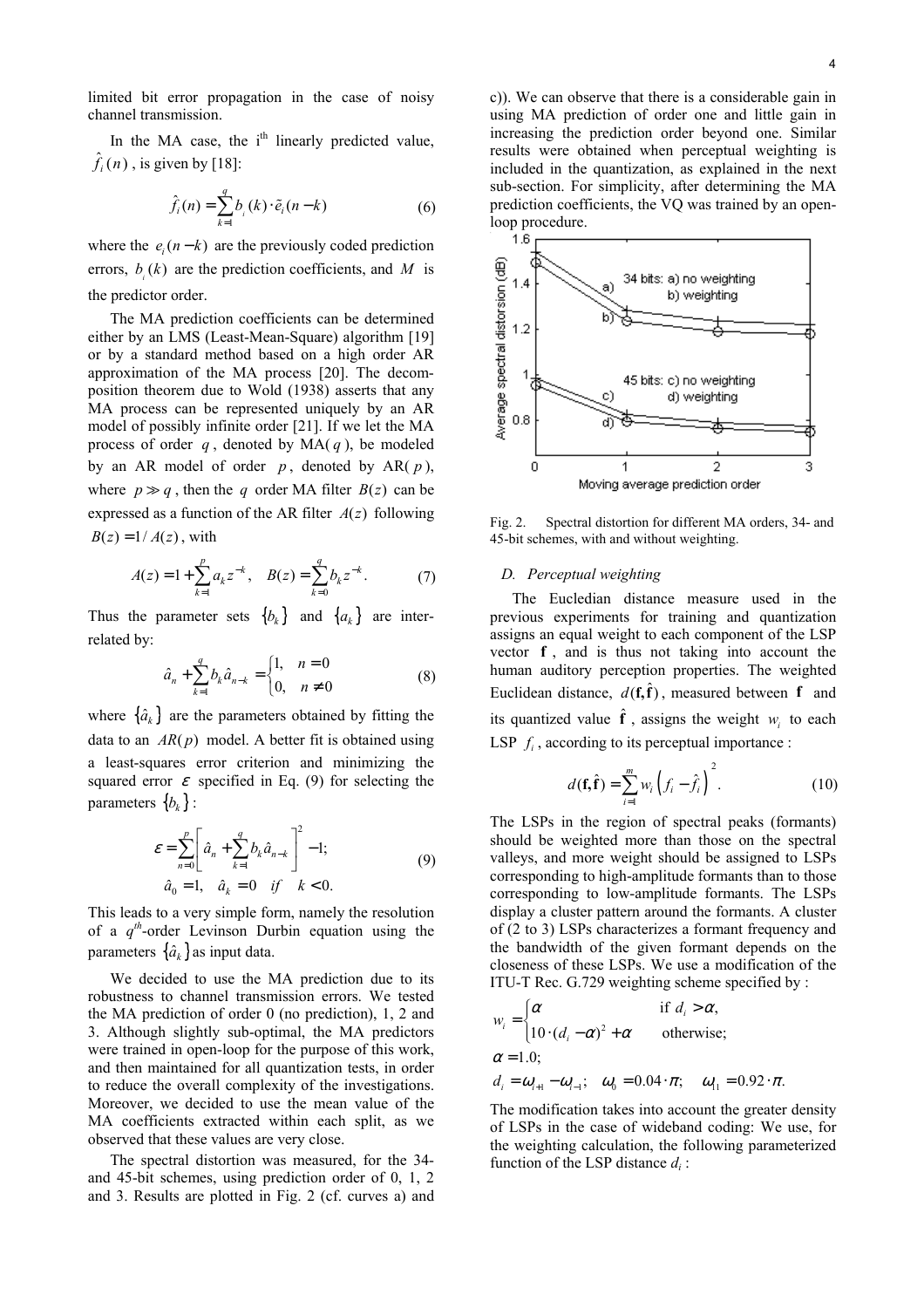limited bit error propagation in the case of noisy channel transmission.

In the MA case, the i<sup>th</sup> linearly predicted value,  $\hat{f}_i(n)$ , is given by [\[18\]:](#page-5-18)

$$
\hat{f}_i(n) = \sum_{k=1}^q b_i(k) \cdot \tilde{e}_i(n-k)
$$
\n(6)

where the  $e_i(n-k)$  are the previously coded prediction errors,  $b_i(k)$  are the prediction coefficients, and M is the predictor order.

The MA prediction coefficients can be determined either by an LMS (Least-Mean-Square) algorithm [\[19\]](#page-5-19) or by a standard method based on a high order AR approximation of the MA process [\[20\].](#page-5-20) The decomposition theorem due to Wold (1938) asserts that any MA process can be represented uniquely by an AR model of possibly infinite order [\[21\].](#page-5-21) If we let the MA process of order  $q$ , denoted by  $MA(q)$ , be modeled by an AR model of order  $p$ , denoted by AR( $p$ ), where  $p \gg q$ , then the q order MA filter  $B(z)$  can be expressed as a function of the AR filter *A*(*z*) following  $B(z) = 1/A(z)$ , with

$$
A(z) = 1 + \sum_{k=1}^{p} a_k z^{-k}, \quad B(z) = \sum_{k=0}^{q} b_k z^{-k}.
$$
 (7)

Thus the parameter sets  ${b_k}$  and  ${a_k}$  are interrelated by:

$$
\hat{a}_n + \sum_{k=1}^q b_k \hat{a}_{n-k} = \begin{cases} 1, & n=0 \\ 0, & n \neq 0 \end{cases}
$$
 (8)

where  $\{\hat{a}_k\}$  are the parameters obtained by fitting the data to an  $AR(p)$  model. A better fit is obtained using squared error  $\varepsilon$  specified in Eq. [\(9\)](#page-3-0) for selecting the a least-squares error criterion and minimizing the parameters  ${b_k}$  :

$$
\varepsilon = \sum_{n=0}^{p} \left[ \hat{a}_n + \sum_{k=1}^{q} b_k \hat{a}_{n-k} \right]^2 - 1; \n\hat{a}_0 = 1, \quad \hat{a}_k = 0 \quad \text{if} \quad k < 0.
$$
\n(9)

This leads to a very simple form, namely the resolution of a  $q^{th}$ -order Levinson Durbin equation using the parameters  $\{\hat{a}_k\}$  as input data.

We decided to use the MA prediction due to its robustness to channel transmission errors. We tested the MA prediction of order 0 (no prediction), 1, 2 and 3. Although slightly sub-optimal, the MA predictors were trained in open-loop for the purpose of this work, and then maintained for all quantization tests, in order to reduce the overall complexity of the investigations. Moreover, we decided to use the mean value of the MA coefficients extracted within each split, as we observed that these values are very close.

The spectral distortion was measured, for the 34 and 45-bit schemes, using prediction order of 0, 1, 2 and 3. Results are plotted in [Fig. 2](#page-3-1) (cf. curves a) and c)). We can observe that there is a considerable gain in using MA prediction of order one and little gain in increasing the prediction order beyond one. Similar results were obtained when perceptual weighting is included in the quantization, as explained in the next sub-section. For simplicity, after determining the MA prediction coefficients, the VQ was trained by an openloop procedure.



<span id="page-3-1"></span>Fig. 2. Spectral distortion for different MA orders, 34- and 45-bit schemes, with and without weighting.

# <span id="page-3-2"></span>*D. Perceptual weighting*

The Eucledian distance measure used in the previous experiments for training and quantization assigns an equal weight to each component of the LSP vector  $f$ , and is thus not taking into account the human auditory perception properties. The weighted Euclidean distance,  $d(f, \hat{f})$ , measured between f and its quantized value  $\hat{\mathbf{f}}$ , assigns the weight  $w_i$  to each LSP  $f_i$ , according to its perceptual importance :

$$
d(\mathbf{f}, \hat{\mathbf{f}}) = \sum_{i=1}^{m} w_i \left( f_i - \hat{f}_i \right)^2.
$$
 (10)

<span id="page-3-0"></span>The LSPs in the region of spectral peaks (formants) should be weighted more than those on the spectral valleys, and more weight should be assigned to LSPs corresponding to high-amplitude formants than to those corresponding to low-amplitude formants. The LSPs display a cluster pattern around the formants. A cluster of (2 to 3) LSPs characterizes a formant frequency and the bandwidth of the given formant depends on the closeness of these LSPs. We use a modification of the ITU-T Rec. G.729 weighting scheme specified by :

$$
w_i = \begin{cases} \alpha & \text{if } d_i > \alpha, \\ 10 \cdot (d_i - \alpha)^2 + \alpha & \text{otherwise;} \end{cases}
$$
  
\n
$$
\alpha = 1.0;
$$
  
\n
$$
d_i = \omega_{i+1} - \omega_{i-1}; \quad \omega_0 = 0.04 \cdot \pi; \quad \omega_{11} = 0.92 \cdot \pi.
$$

The modification takes into account the greater density of LSPs in the case of wideband coding: We use, for the weighting calculation, the following parameterized function of the LSP distance *di* :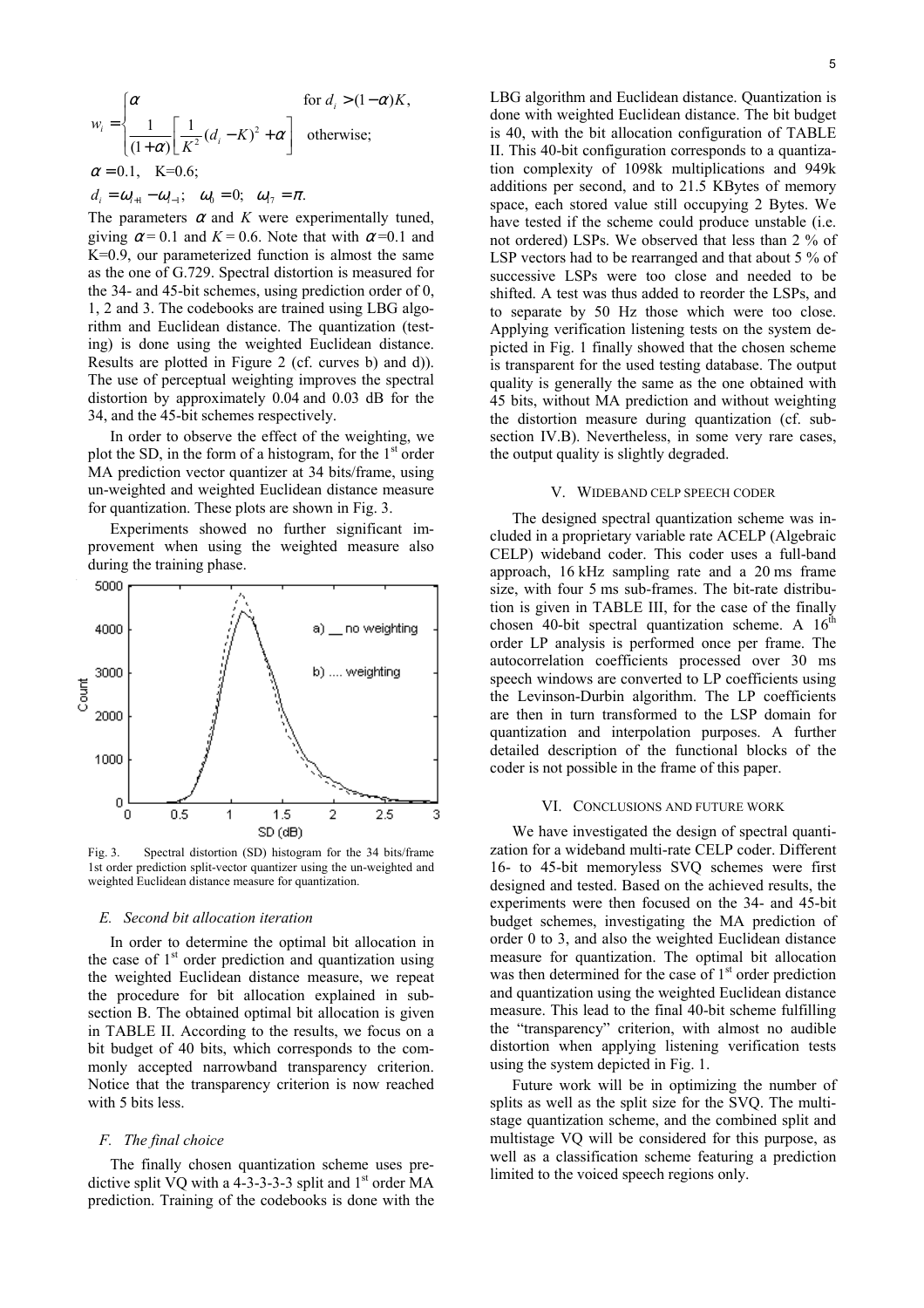$$
w_i = \begin{cases} \alpha & \text{for } d_i > (1 - \alpha)K, \\ \frac{1}{(1 + \alpha)} \left[ \frac{1}{K^2} (d_i - K)^2 + \alpha \right] & \text{otherwise;} \\ \alpha = 0.1, \quad K = 0.6; \\ d_i = \omega_{i+1} - \omega_{i-1}; \quad \omega_0 = 0; \quad \omega_{i+1} = \pi. \end{cases}
$$

The parameters  $\alpha$  and  $K$  were experimentally tuned, giving  $\alpha = 0.1$  and  $K = 0.6$ . Note that with  $\alpha = 0.1$  and K=0.9, our parameterized function is almost the same as the one of G.729. Spectral distortion is measured for the 34- and 45-bit schemes, using prediction order of 0, 1, 2 and 3. The codebooks are trained using LBG algorithm and Euclidean distance. The quantization (testing) is done using the weighted Euclidean distance. Results are plotted in Figure 2 (cf. curves b) and d)). The use of perceptual weighting improves the spectral distortion by approximately 0.04 and 0.03 dB for the 34, and the 45-bit schemes respectively.

In order to observe the effect of the weighting, we plot the SD, in the form of a histogram, for the  $1<sup>st</sup>$  order MA prediction vector quantizer at 34 bits/frame, using un-weighted and weighted Euclidean distance measure for quantization. These plots are shown in [Fig. 3.](#page-4-2)

Experiments showed no further significant improvement when using the weighted measure also during the training phase.



<span id="page-4-2"></span>Fig. 3. Spectral distortion (SD) histogram for the 34 bits/frame 1st order prediction split-vector quantizer using the un-weighted and weighted Euclidean distance measure for quantization.

## *E. Second bit allocation iteration*

In order to determine the optimal bit allocation in the case of  $1<sup>st</sup>$  order prediction and quantization using the weighted Euclidean distance measure, we repeat the procedure for bit allocation explained in subsection [B.](#page-2-2) The obtained optimal bit allocation is given in [TABLE II.](#page-5-22) According to the results, we focus on a bit budget of 40 bits, which corresponds to the commonly accepted narrowband transparency criterion. Notice that the transparency criterion is now reached with 5 bits less.

#### *F. The final choice*

The finally chosen quantization scheme uses predictive split VQ with a 4-3-3-3-3 split and  $1<sup>st</sup>$  order MA prediction. Training of the codebooks is done with the

LBG algorithm and Euclidean distance. Quantization is done with weighted Euclidean distance. The bit budget is 40, with the bit allocation configuration of [TABLE](#page-5-22) I[I.](#page-5-22) This 40-bit configuration corresponds to a quantization complexity of 1098k multiplications and 949k additions per second, and to 21.5 KBytes of memory space, each stored value still occupying 2 Bytes. We have tested if the scheme could produce unstable (i.e. not ordered) LSPs. We observed that less than 2 % of LSP vectors had to be rearranged and that about 5 % of successive LSPs were too close and needed to be shifted. A test was thus added to reorder the LSPs, and to separate by 50 Hz those which were too close. Applying verification listening tests on the system depicted in [Fig. 1](#page-1-1) finally showed that the chosen scheme is transparent for the used testing database. The output quality is generally the same as the one obtained with 45 bits, without MA prediction and without weighting the distortion measure during quantization (cf. subsection [IV.B\)](#page-2-2). Nevertheless, in some very rare cases, the output quality is slightly degraded.

#### <span id="page-4-0"></span>V. WIDEBAND CELP SPEECH CODER

The designed spectral quantization scheme was included in a proprietary variable rate ACELP (Algebraic CELP) wideband coder. This coder uses a full-band approach, 16 kHz sampling rate and a 20 ms frame size, with four 5 ms sub-frames. The bit-rate distribution is given in [TABLE III,](#page-5-23) for the case of the finally chosen 40-bit spectral quantization scheme. A  $16<sup>th</sup>$ order LP analysis is performed once per frame. The autocorrelation coefficients processed over 30 ms speech windows are converted to LP coefficients using the Levinson-Durbin algorithm. The LP coefficients are then in turn transformed to the LSP domain for quantization and interpolation purposes. A further detailed description of the functional blocks of the coder is not possible in the frame of this paper.

# <span id="page-4-1"></span>VI. CONCLUSIONS AND FUTURE WORK

We have investigated the design of spectral quantization for a wideband multi-rate CELP coder. Different 16- to 45-bit memoryless SVQ schemes were first designed and tested. Based on the achieved results, the experiments were then focused on the 34- and 45-bit budget schemes, investigating the MA prediction of order 0 to 3, and also the weighted Euclidean distance measure for quantization. The optimal bit allocation was then determined for the case of  $1<sup>st</sup>$  order prediction and quantization using the weighted Euclidean distance measure. This lead to the final 40-bit scheme fulfilling the "transparency" criterion, with almost no audible distortion when applying listening verification tests using the system depicted in [Fig. 1.](#page-1-1)

Future work will be in optimizing the number of splits as well as the split size for the SVQ. The multistage quantization scheme, and the combined split and multistage VQ will be considered for this purpose, as well as a classification scheme featuring a prediction limited to the voiced speech regions only.